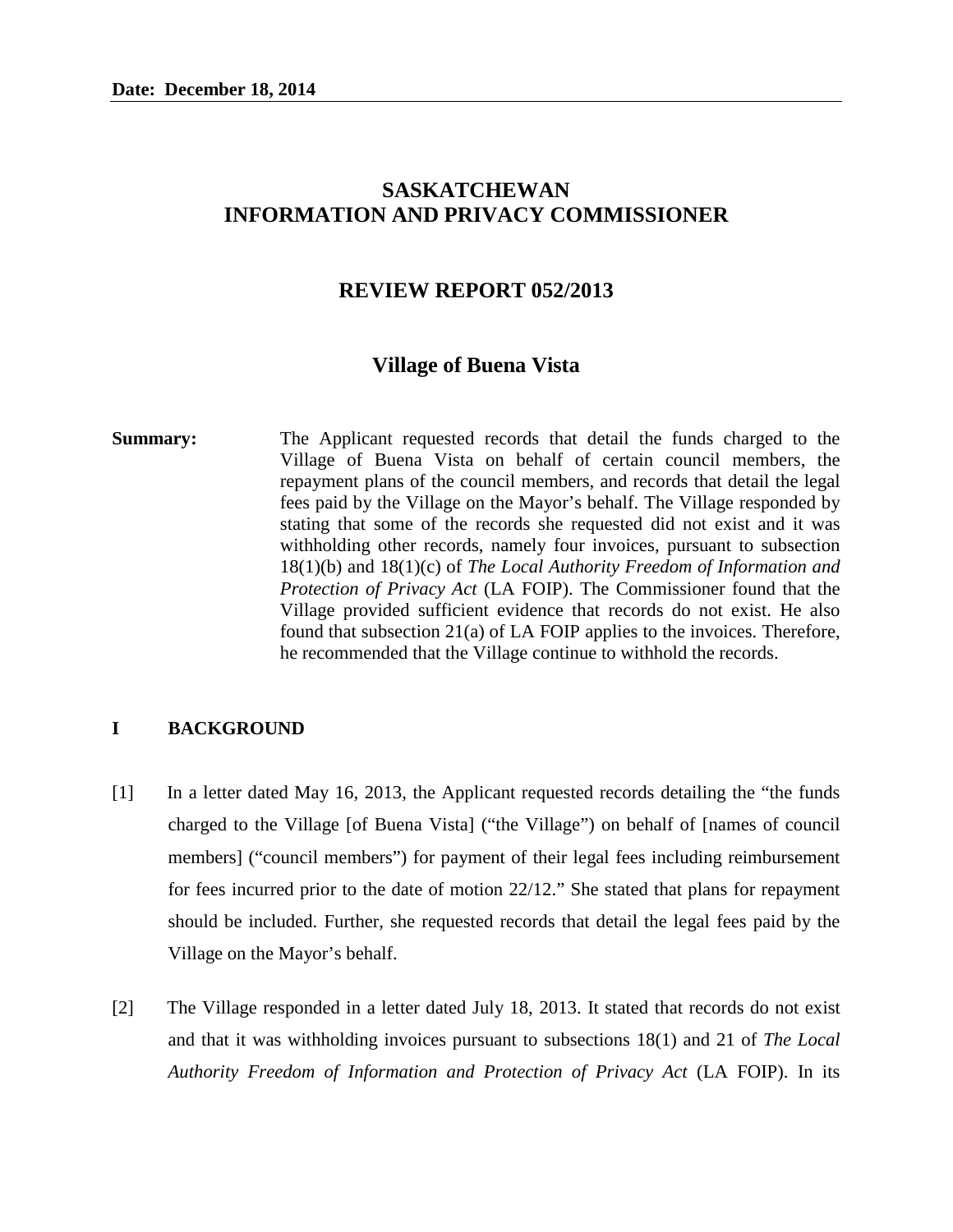# **SASKATCHEWAN INFORMATION AND PRIVACY COMMISSIONER**

## **REVIEW REPORT 052/2013**

#### **Village of Buena Vista**

**Summary:** The Applicant requested records that detail the funds charged to the Village of Buena Vista on behalf of certain council members, the repayment plans of the council members, and records that detail the legal fees paid by the Village on the Mayor's behalf. The Village responded by stating that some of the records she requested did not exist and it was withholding other records, namely four invoices, pursuant to subsection 18(1)(b) and 18(1)(c) of *The Local Authority Freedom of Information and Protection of Privacy Act* (LA FOIP). The Commissioner found that the Village provided sufficient evidence that records do not exist. He also found that subsection 21(a) of LA FOIP applies to the invoices. Therefore, he recommended that the Village continue to withhold the records.

### **I BACKGROUND**

- [1] In a letter dated May 16, 2013, the Applicant requested records detailing the "the funds charged to the Village [of Buena Vista] ("the Village") on behalf of [names of council members] ("council members") for payment of their legal fees including reimbursement for fees incurred prior to the date of motion 22/12." She stated that plans for repayment should be included. Further, she requested records that detail the legal fees paid by the Village on the Mayor's behalf.
- [2] The Village responded in a letter dated July 18, 2013. It stated that records do not exist and that it was withholding invoices pursuant to subsections 18(1) and 21 of *The Local Authority Freedom of Information and Protection of Privacy Act* (LA FOIP). In its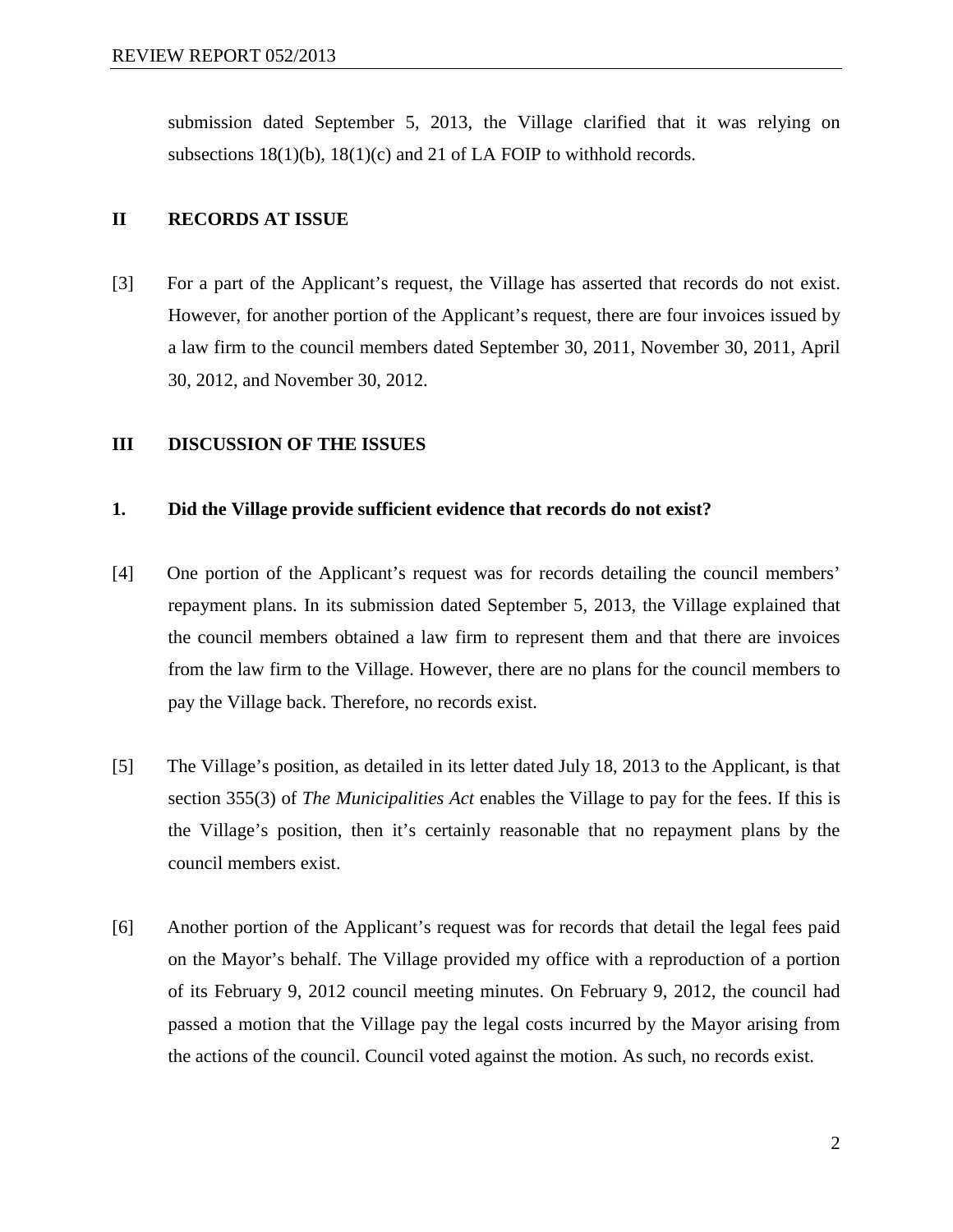submission dated September 5, 2013, the Village clarified that it was relying on subsections  $18(1)(b)$ ,  $18(1)(c)$  and 21 of LA FOIP to withhold records.

### **II RECORDS AT ISSUE**

[3] For a part of the Applicant's request, the Village has asserted that records do not exist. However, for another portion of the Applicant's request, there are four invoices issued by a law firm to the council members dated September 30, 2011, November 30, 2011, April 30, 2012, and November 30, 2012.

#### **III DISCUSSION OF THE ISSUES**

#### **1. Did the Village provide sufficient evidence that records do not exist?**

- [4] One portion of the Applicant's request was for records detailing the council members' repayment plans. In its submission dated September 5, 2013, the Village explained that the council members obtained a law firm to represent them and that there are invoices from the law firm to the Village. However, there are no plans for the council members to pay the Village back. Therefore, no records exist.
- [5] The Village's position, as detailed in its letter dated July 18, 2013 to the Applicant, is that section 355(3) of *The Municipalities Act* enables the Village to pay for the fees. If this is the Village's position, then it's certainly reasonable that no repayment plans by the council members exist.
- [6] Another portion of the Applicant's request was for records that detail the legal fees paid on the Mayor's behalf. The Village provided my office with a reproduction of a portion of its February 9, 2012 council meeting minutes. On February 9, 2012, the council had passed a motion that the Village pay the legal costs incurred by the Mayor arising from the actions of the council. Council voted against the motion. As such, no records exist.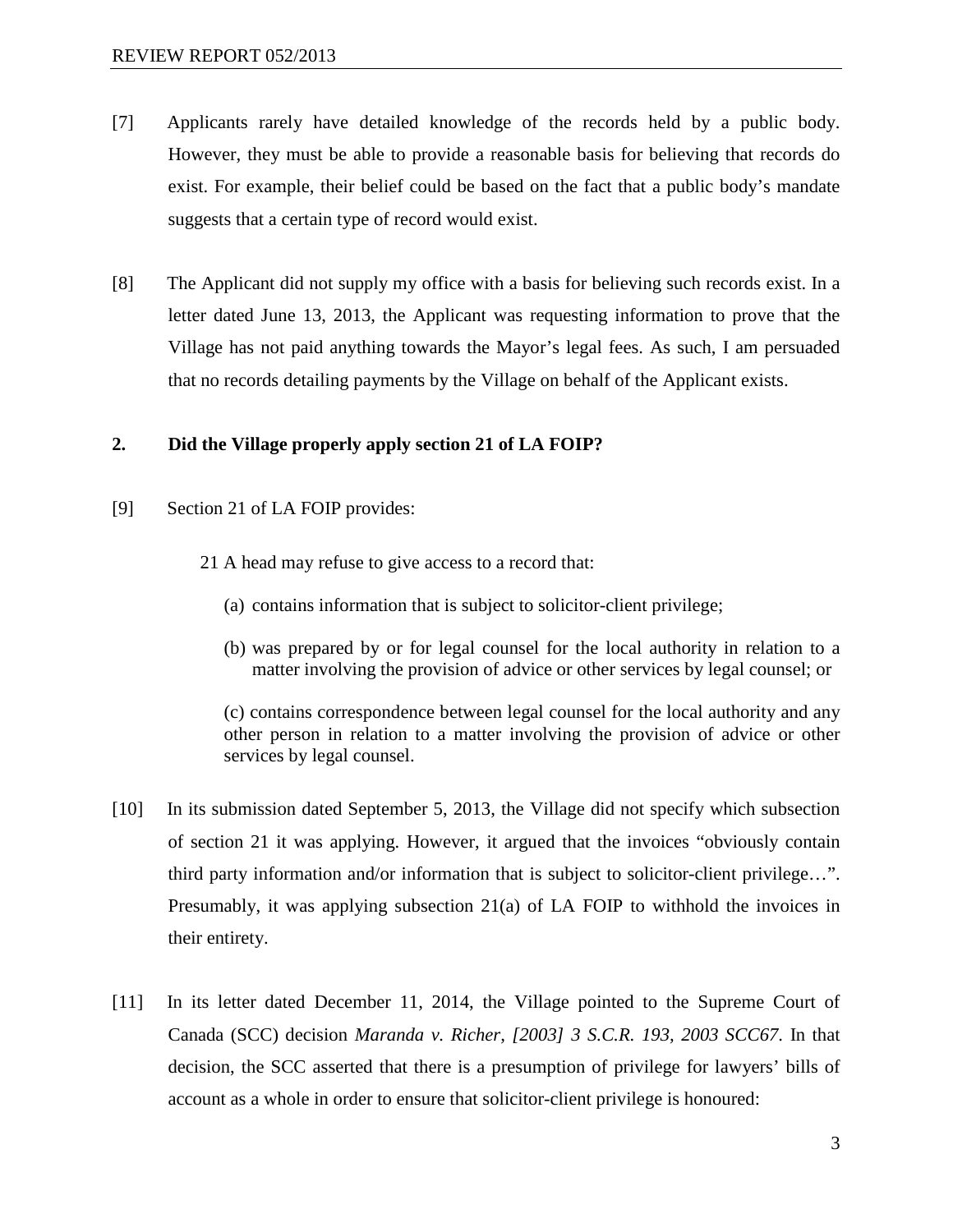- [7] Applicants rarely have detailed knowledge of the records held by a public body. However, they must be able to provide a reasonable basis for believing that records do exist. For example, their belief could be based on the fact that a public body's mandate suggests that a certain type of record would exist.
- [8] The Applicant did not supply my office with a basis for believing such records exist. In a letter dated June 13, 2013, the Applicant was requesting information to prove that the Village has not paid anything towards the Mayor's legal fees. As such, I am persuaded that no records detailing payments by the Village on behalf of the Applicant exists.

## **2. Did the Village properly apply section 21 of LA FOIP?**

- [9] Section 21 of LA FOIP provides:
	- 21 A head may refuse to give access to a record that:
		- (a) contains information that is subject to solicitor-client privilege;
		- (b) was prepared by or for legal counsel for the local authority in relation to a matter involving the provision of advice or other services by legal counsel; or

(c) contains correspondence between legal counsel for the local authority and any other person in relation to a matter involving the provision of advice or other services by legal counsel.

- [10] In its submission dated September 5, 2013, the Village did not specify which subsection of section 21 it was applying. However, it argued that the invoices "obviously contain third party information and/or information that is subject to solicitor-client privilege…". Presumably, it was applying subsection 21(a) of LA FOIP to withhold the invoices in their entirety.
- [11] In its letter dated December 11, 2014, the Village pointed to the Supreme Court of Canada (SCC) decision *Maranda v. Richer, [2003] 3 S.C.R. 193, 2003 SCC67*. In that decision, the SCC asserted that there is a presumption of privilege for lawyers' bills of account as a whole in order to ensure that solicitor-client privilege is honoured: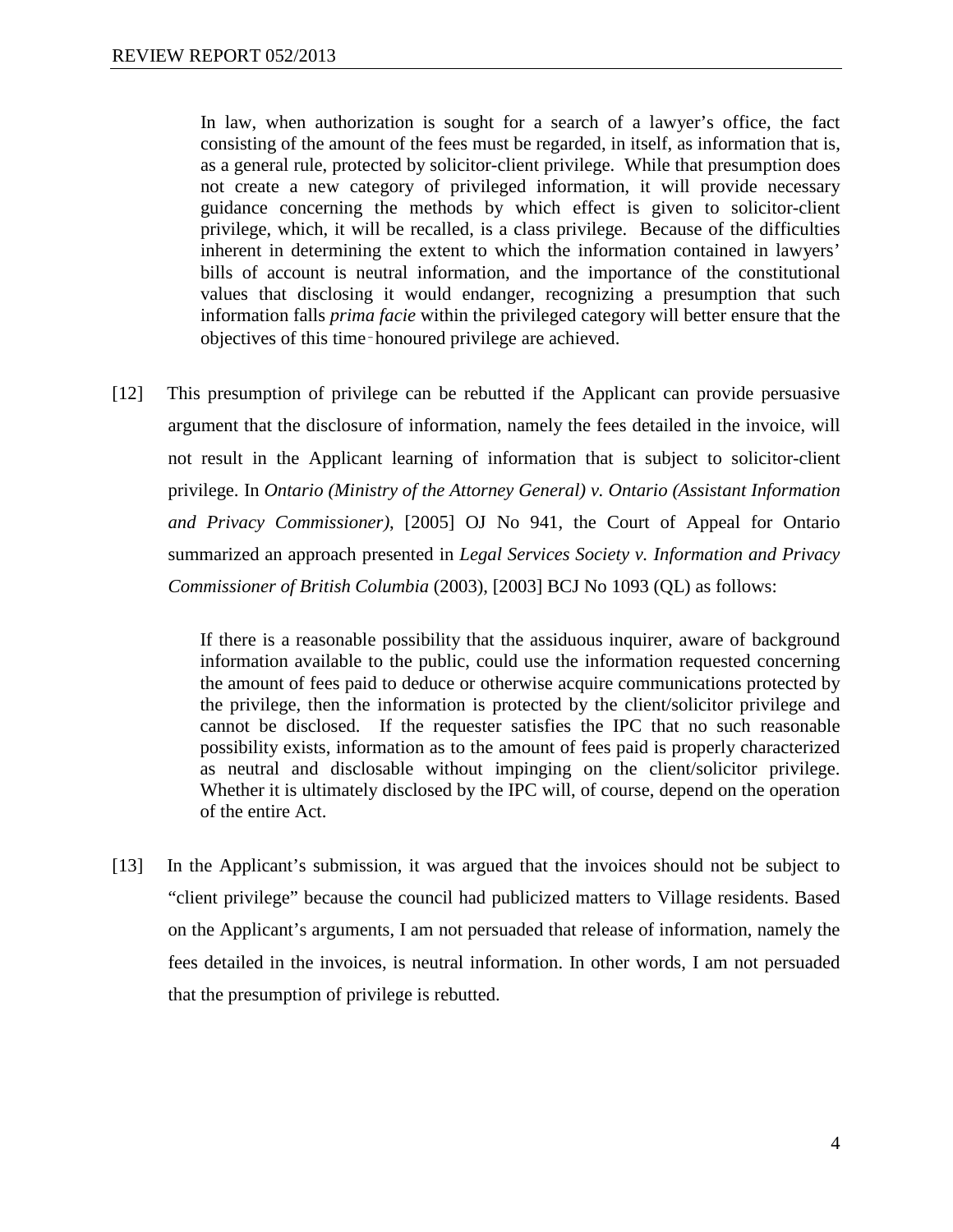In law, when authorization is sought for a search of a lawyer's office, the fact consisting of the amount of the fees must be regarded, in itself, as information that is, as a general rule, protected by solicitor-client privilege. While that presumption does not create a new category of privileged information, it will provide necessary guidance concerning the methods by which effect is given to solicitor-client privilege, which, it will be recalled, is a class privilege. Because of the difficulties inherent in determining the extent to which the information contained in lawyers' bills of account is neutral information, and the importance of the constitutional values that disclosing it would endanger, recognizing a presumption that such information falls *prima facie* within the privileged category will better ensure that the objectives of this time‑honoured privilege are achieved.

[12] This presumption of privilege can be rebutted if the Applicant can provide persuasive argument that the disclosure of information, namely the fees detailed in the invoice, will not result in the Applicant learning of information that is subject to solicitor-client privilege. In *Ontario (Ministry of the Attorney General) v. Ontario (Assistant Information and Privacy Commissioner)*, [2005] OJ No 941, the Court of Appeal for Ontario summarized an approach presented in *Legal Services Society v. Information and Privacy Commissioner of British Columbia* (2003), [2003] BCJ No 1093 (QL) as follows:

> If there is a reasonable possibility that the assiduous inquirer, aware of background information available to the public, could use the information requested concerning the amount of fees paid to deduce or otherwise acquire communications protected by the privilege, then the information is protected by the client/solicitor privilege and cannot be disclosed. If the requester satisfies the IPC that no such reasonable possibility exists, information as to the amount of fees paid is properly characterized as neutral and disclosable without impinging on the client/solicitor privilege. Whether it is ultimately disclosed by the IPC will, of course, depend on the operation of the entire Act.

[13] In the Applicant's submission, it was argued that the invoices should not be subject to "client privilege" because the council had publicized matters to Village residents. Based on the Applicant's arguments, I am not persuaded that release of information, namely the fees detailed in the invoices, is neutral information. In other words, I am not persuaded that the presumption of privilege is rebutted.